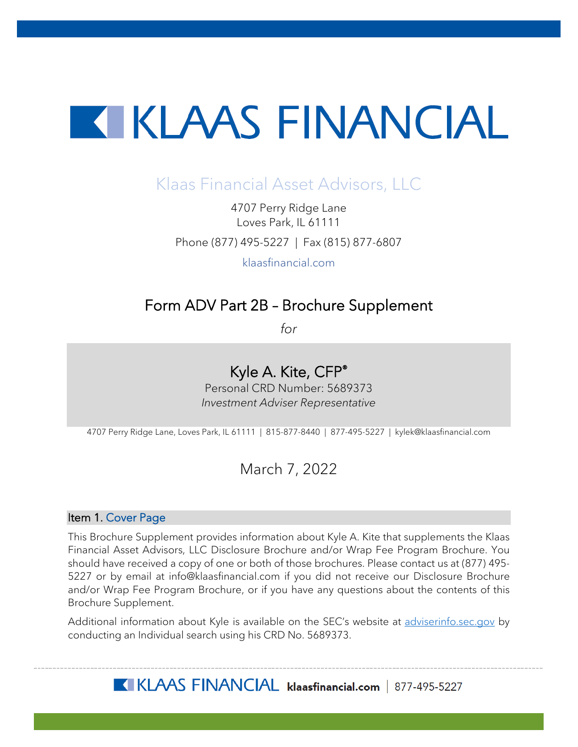# **TERESAL ENTRANCIAL**

## Klaas Financial Asset Advisors, LLC

4707 Perry Ridge Lane Loves Park, IL 61111 Phone (877) 495-5227 | Fax (815) 877-6807

klaasfinancial.com

## Form ADV Part 2B – Brochure Supplement

*for*

## Kyle A. Kite, CFP®

Personal CRD Number: 5689373 *Investment Adviser Representative*

4707 Perry Ridge Lane, Loves Park, IL 61111 | 815-877-8440 | 877-495-5227 | kylek@klaasfinancial.com

### March 7, 2022

#### Item 1. Cover Page

This Brochure Supplement provides information about Kyle A. Kite that supplements the Klaas Financial Asset Advisors, LLC Disclosure Brochure and/or Wrap Fee Program Brochure. You should have received a copy of one or both of those brochures. Please contact us at (877) 495- 5227 or by email at info@klaasfinancial.com if you did not receive our Disclosure Brochure and/or Wrap Fee Program Brochure, or if you have any questions about the contents of this Brochure Supplement.

Additional information about Kyle is available on the SEC's website at [adviserinfo.sec.gov](https://adviserinfo.sec.gov/) by conducting an Individual search using his CRD No. 5689373.

KLAAS FINANCIAL klaasfinancial.com | 877-495-5227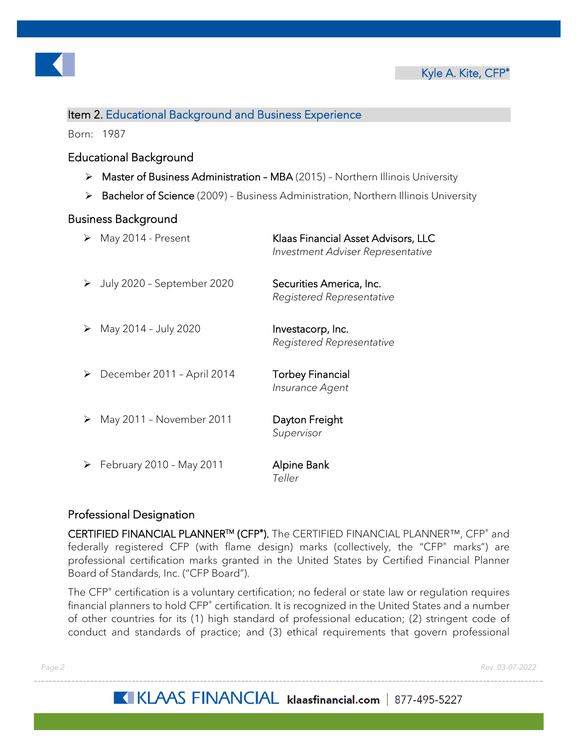

#### Item 2. Educational Background and Business Experience

Born: 1987

#### Educational Background

- $\triangleright$  Master of Business Administration MBA (2015) Northern Illinois University
- ▶ Bachelor of Science (2009) Business Administration, Northern Illinois University

#### Business Background

| ➤ | May 2014 - Present         | Klaas Financial Asset Advisors, LLC<br>Investment Adviser Representative |
|---|----------------------------|--------------------------------------------------------------------------|
| ➤ | July 2020 - September 2020 | Securities America, Inc.<br>Registered Representative                    |
| ➤ | May 2014 - July 2020       | Investacorp, Inc.<br>Registered Representative                           |
| ➤ | December 2011 - April 2014 | <b>Torbey Financial</b><br>Insurance Agent                               |
| ➤ | May 2011 - November 2011   | Dayton Freight<br>Supervisor                                             |
| ➤ | February 2010 - May 2011   | Alpine Bank<br>Teller                                                    |

#### Professional Designation

CERTIFIED FINANCIAL PLANNERTM (CFP® ). The CERTIFIED FINANCIAL PLANNER™, CFP® and federally registered CFP (with flame design) marks (collectively, the "CFP® marks") are professional certification marks granted in the United States by Certified Financial Planner Board of Standards, Inc. ("CFP Board").

The CFP® certification is a voluntary certification; no federal or state law or regulation requires financial planners to hold CFP<sup>®</sup> certification. It is recognized in the United States and a number of other countries for its (1) high standard of professional education; (2) stringent code of conduct and standards of practice; and (3) ethical requirements that govern professional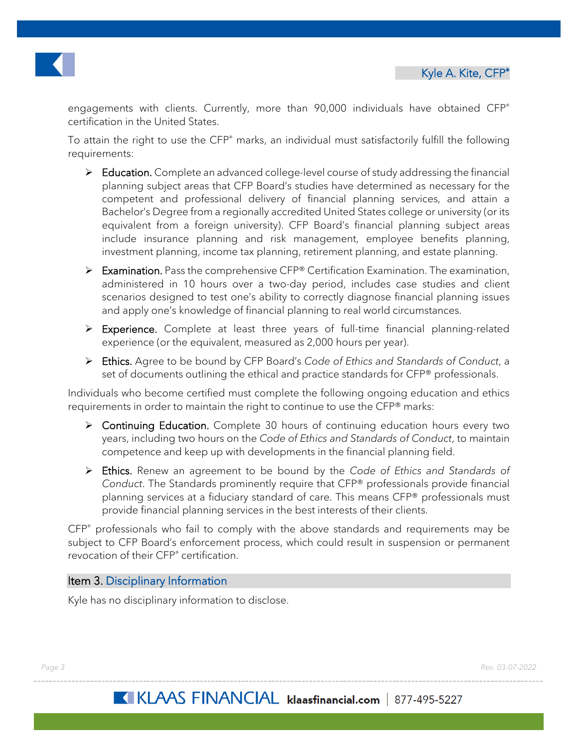



engagements with clients. Currently, more than 90,000 individuals have obtained CFP® certification in the United States.

To attain the right to use the CFP® marks, an individual must satisfactorily fulfill the following requirements:

- $\triangleright$  Education. Complete an advanced college-level course of study addressing the financial planning subject areas that CFP Board's studies have determined as necessary for the competent and professional delivery of financial planning services, and attain a Bachelor's Degree from a regionally accredited United States college or university (or its equivalent from a foreign university). CFP Board's financial planning subject areas include insurance planning and risk management, employee benefits planning, investment planning, income tax planning, retirement planning, and estate planning.
- Examination. Pass the comprehensive CFP® Certification Examination. The examination, administered in 10 hours over a two-day period, includes case studies and client scenarios designed to test one's ability to correctly diagnose financial planning issues and apply one's knowledge of financial planning to real world circumstances.
- Experience. Complete at least three years of full-time financial planning-related experience (or the equivalent, measured as 2,000 hours per year).
- Ethics. Agree to be bound by CFP Board's *Code of Ethics and Standards of Conduct*, a set of documents outlining the ethical and practice standards for CFP® professionals.

Individuals who become certified must complete the following ongoing education and ethics requirements in order to maintain the right to continue to use the CFP® marks:

- ▶ Continuing Education. Complete 30 hours of continuing education hours every two years, including two hours on the *Code of Ethics and Standards of Conduct*, to maintain competence and keep up with developments in the financial planning field.
- Ethics. Renew an agreement to be bound by the *Code of Ethics and Standards of Conduct*. The Standards prominently require that CFP® professionals provide financial planning services at a fiduciary standard of care. This means CFP® professionals must provide financial planning services in the best interests of their clients.

CFP® professionals who fail to comply with the above standards and requirements may be subject to CFP Board's enforcement process, which could result in suspension or permanent revocation of their CFP® certification.

#### Item 3. Disciplinary Information

Kyle has no disciplinary information to disclose.